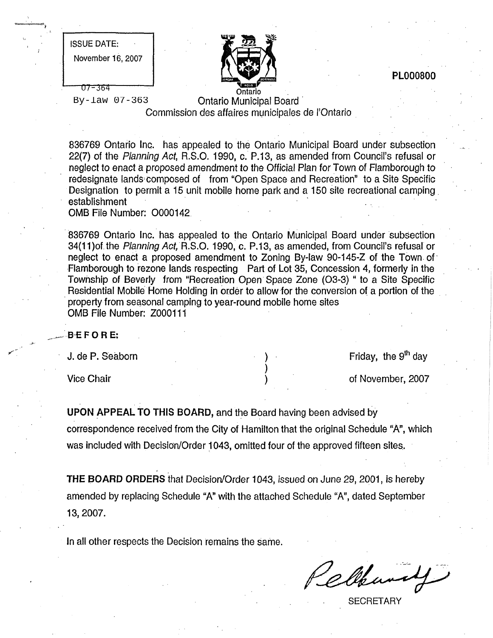| <b>ISSUE DATE:</b> |  |
|--------------------|--|
| November 16, 2007  |  |
|                    |  |
| T7-364             |  |

1



PLO00800

By-law 07-363

Ontario Municipal Board Commission des affaires municipales de I'Ontario

836769 Ontario Inc. has appealed to the Ontario Municipal Board under subsection 22(7) of the Planning Act, R.S.O. 1990, c. P.13, as amended from Council's refusal or neglect to enact a proposed amendment to the Official Plan for Town of Flamborough to redesignate lands composed of from "Open Space and Recreation" to a Site Specific Designation to permit a 15 unit mobile home park and a 150 site recreational camping<br>establishment

OMB File Number: 0000142

836769 Ontario Inc. has appealed to the Ontario Municipal Board under subsection 34(11)of the Planning Act, R.S.O. 1990, c. P.13, as amended, from Council's refusal or neglect to enact a proposed amendment to Zoning By-law 90-145-Z of the Town of Flamborough to rezone lands respecting Part of Lot 35, Concession 4, formerly in the Township of Beverly from "Recreation Open Space Zone (03-3) " to a Site Specific Residential Mobile Home Holding in order to allow for the conversion of a portion of the property from seasonal camping to year-round mobile home sites OMB File Number: Z000111

> ) ) )

BEFORE:

J. de P. Seaborn

Vice Chair

Friday, the  $9<sup>th</sup>$  day

of November, 2007

UPON APPEAL TO THIS BOARD, and the Board having been advised by correspondence received from the City of Hamilton that the original Schedule "A", which was included with Decision/Order 1043, omitted four of the approved fifteen sites.

THE BOARD ORDERS that Decision/Order 1043, issued on June 29, 2001, is hereby amended by replacing Schedule "A" with the attached Schedule "A", dated September 13, 2007.

in all other respects the Decision remains the same.

Cleand

**SECRETARY**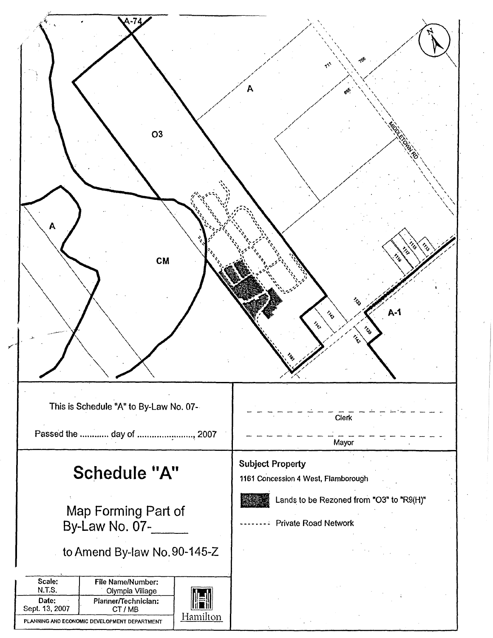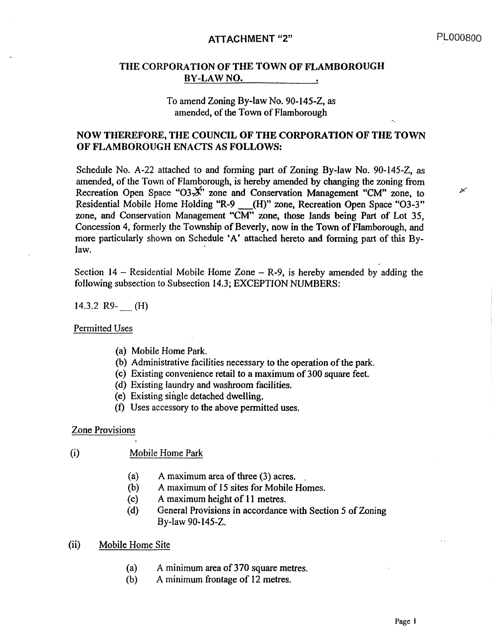# ATTACHMENT "2" PL000800

 $\overline{\mathscr{C}}$ 

#### THE CORPORATION OF THE TOWN OF FLAMBOROUGH BY-LAW NO.

### To amend Zoning By-law No. 90-145-Z, as amended, of the Town of Flamborough

## NOW THEREFORE, THE COUNCIL OF THE CORPORATION OF THE TOWN OF FLAMBOROUGH ENACTS AS FOLLOWS:

Schedule No. A-22 attached to and forming part of Zoning By-law No. 90-145-Z, as amended, of the Town of Flamborough, is hereby amended by changing the zoning from Recreation Open Space "O3-X" zone and Conservation Management "CM" zone, to Residential Mobile Home Holding "R-9 .\_.\_\_(H)" zone, Recreation Open Space "03-3" zone, and Conservation Management "CM" zone, those lands being Part of Lot 35, Concession 4, formerly the Township of Beverly, now in the Town of Flamborough, and more particularly shown on Schedule 'A' attached hereto and forming part of this Bylaw.

Section  $14$  - Residential Mobile Home Zone - R-9, is hereby amended by adding the following subsection to Subsection 14.3; EXCEPTION NUMBERS:

14.3.2 R9- \_\_ (H)

Permitted Uses

- (a) Mobile Home Park.
- (b) Administrative facilities necessary to the operation of the park.
- (c) Existing convenience retail to a maximum of 300 square feet.
- (d) Existing laundry and washroom facilities.
- (e) Existing single detached dwelling.
- (f) Uses accessory to the above permitted uses.

Zone Provisions

- (i) Mobile Home Park
	- (a) A maximum area of three (3) acres.
	- (b) A maximum of 15 sites for Mobile Homes.
	- (c) A maximum height of 11 metres.
	- (d) General Provisions in accordance with Section 5 of Zoning By-law 90-145-Z.
- (ii) Mobile Home Site
	- (a) A minimum area of 370 square metres.
	- (b) A minimum frontage of 12 metres.